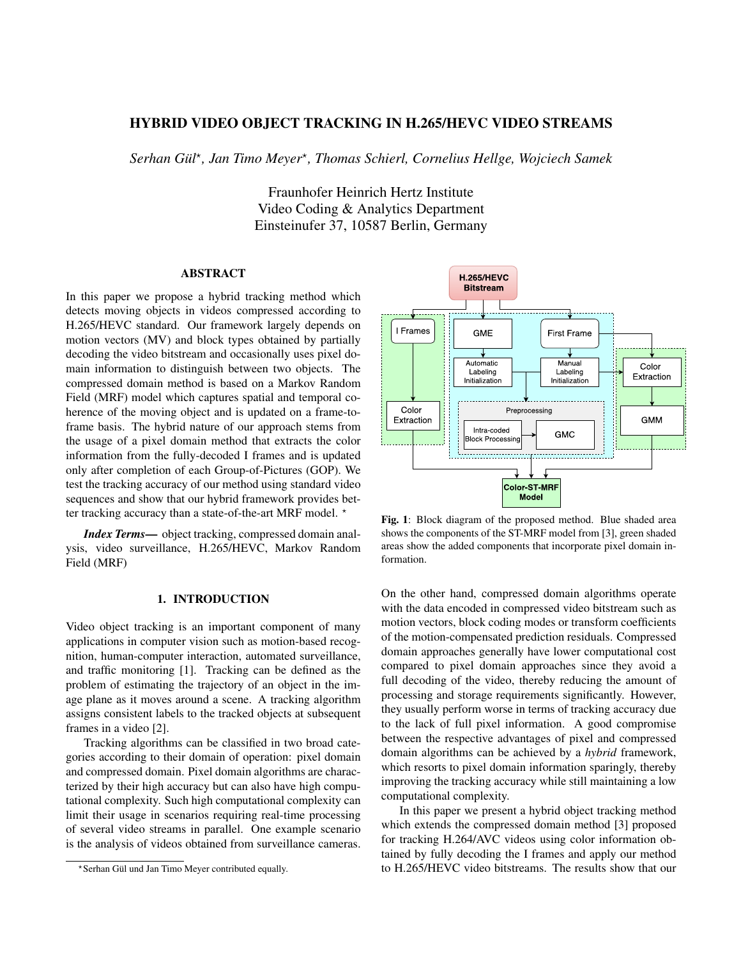# HYBRID VIDEO OBJECT TRACKING IN H.265/HEVC VIDEO STREAMS

*Serhan Gul¨* ? *, Jan Timo Meyer*? *, Thomas Schierl, Cornelius Hellge, Wojciech Samek*

Fraunhofer Heinrich Hertz Institute Video Coding & Analytics Department Einsteinufer 37, 10587 Berlin, Germany

### ABSTRACT

In this paper we propose a hybrid tracking method which detects moving objects in videos compressed according to H.265/HEVC standard. Our framework largely depends on motion vectors (MV) and block types obtained by partially decoding the video bitstream and occasionally uses pixel domain information to distinguish between two objects. The compressed domain method is based on a Markov Random Field (MRF) model which captures spatial and temporal coherence of the moving object and is updated on a frame-toframe basis. The hybrid nature of our approach stems from the usage of a pixel domain method that extracts the color information from the fully-decoded I frames and is updated only after completion of each Group-of-Pictures (GOP). We test the tracking accuracy of our method using standard video sequences and show that our hybrid framework provides better tracking accuracy than a state-of-the-art MRF model.  $*$ 

*Index Terms*— object tracking, compressed domain analysis, video surveillance, H.265/HEVC, Markov Random Field (MRF)

# 1. INTRODUCTION

Video object tracking is an important component of many applications in computer vision such as motion-based recognition, human-computer interaction, automated surveillance, and traffic monitoring [1]. Tracking can be defined as the problem of estimating the trajectory of an object in the image plane as it moves around a scene. A tracking algorithm assigns consistent labels to the tracked objects at subsequent frames in a video [2].

Tracking algorithms can be classified in two broad categories according to their domain of operation: pixel domain and compressed domain. Pixel domain algorithms are characterized by their high accuracy but can also have high computational complexity. Such high computational complexity can limit their usage in scenarios requiring real-time processing of several video streams in parallel. One example scenario is the analysis of videos obtained from surveillance cameras.



Fig. 1: Block diagram of the proposed method. Blue shaded area shows the components of the ST-MRF model from [3], green shaded areas show the added components that incorporate pixel domain information.

On the other hand, compressed domain algorithms operate with the data encoded in compressed video bitstream such as motion vectors, block coding modes or transform coefficients of the motion-compensated prediction residuals. Compressed domain approaches generally have lower computational cost compared to pixel domain approaches since they avoid a full decoding of the video, thereby reducing the amount of processing and storage requirements significantly. However, they usually perform worse in terms of tracking accuracy due to the lack of full pixel information. A good compromise between the respective advantages of pixel and compressed domain algorithms can be achieved by a *hybrid* framework, which resorts to pixel domain information sparingly, thereby improving the tracking accuracy while still maintaining a low computational complexity.

In this paper we present a hybrid object tracking method which extends the compressed domain method [3] proposed for tracking H.264/AVC videos using color information obtained by fully decoding the I frames and apply our method to H.265/HEVC video bitstreams. The results show that our

<sup>?</sup>Serhan Gul und Jan Timo Meyer contributed equally. ¨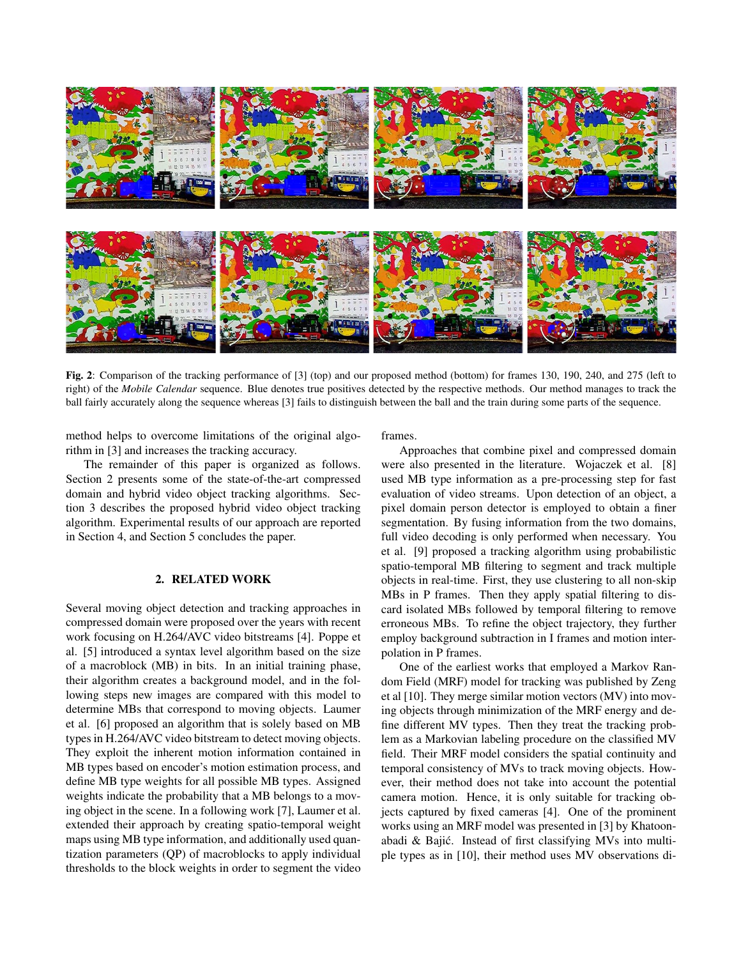

Fig. 2: Comparison of the tracking performance of [3] (top) and our proposed method (bottom) for frames 130, 190, 240, and 275 (left to right) of the *Mobile Calendar* sequence. Blue denotes true positives detected by the respective methods. Our method manages to track the ball fairly accurately along the sequence whereas [3] fails to distinguish between the ball and the train during some parts of the sequence.

method helps to overcome limitations of the original algorithm in [3] and increases the tracking accuracy.

The remainder of this paper is organized as follows. Section 2 presents some of the state-of-the-art compressed domain and hybrid video object tracking algorithms. Section 3 describes the proposed hybrid video object tracking algorithm. Experimental results of our approach are reported in Section 4, and Section 5 concludes the paper.

## 2. RELATED WORK

Several moving object detection and tracking approaches in compressed domain were proposed over the years with recent work focusing on H.264/AVC video bitstreams [4]. Poppe et al. [5] introduced a syntax level algorithm based on the size of a macroblock (MB) in bits. In an initial training phase, their algorithm creates a background model, and in the following steps new images are compared with this model to determine MBs that correspond to moving objects. Laumer et al. [6] proposed an algorithm that is solely based on MB types in H.264/AVC video bitstream to detect moving objects. They exploit the inherent motion information contained in MB types based on encoder's motion estimation process, and define MB type weights for all possible MB types. Assigned weights indicate the probability that a MB belongs to a moving object in the scene. In a following work [7], Laumer et al. extended their approach by creating spatio-temporal weight maps using MB type information, and additionally used quantization parameters (QP) of macroblocks to apply individual thresholds to the block weights in order to segment the video

frames.

Approaches that combine pixel and compressed domain were also presented in the literature. Wojaczek et al. [8] used MB type information as a pre-processing step for fast evaluation of video streams. Upon detection of an object, a pixel domain person detector is employed to obtain a finer segmentation. By fusing information from the two domains, full video decoding is only performed when necessary. You et al. [9] proposed a tracking algorithm using probabilistic spatio-temporal MB filtering to segment and track multiple objects in real-time. First, they use clustering to all non-skip MBs in P frames. Then they apply spatial filtering to discard isolated MBs followed by temporal filtering to remove erroneous MBs. To refine the object trajectory, they further employ background subtraction in I frames and motion interpolation in P frames.

One of the earliest works that employed a Markov Random Field (MRF) model for tracking was published by Zeng et al [10]. They merge similar motion vectors (MV) into moving objects through minimization of the MRF energy and define different MV types. Then they treat the tracking problem as a Markovian labeling procedure on the classified MV field. Their MRF model considers the spatial continuity and temporal consistency of MVs to track moving objects. However, their method does not take into account the potential camera motion. Hence, it is only suitable for tracking objects captured by fixed cameras [4]. One of the prominent works using an MRF model was presented in [3] by Khatoonabadi & Bajic. Instead of first classifying MVs into multi- ´ ple types as in [10], their method uses MV observations di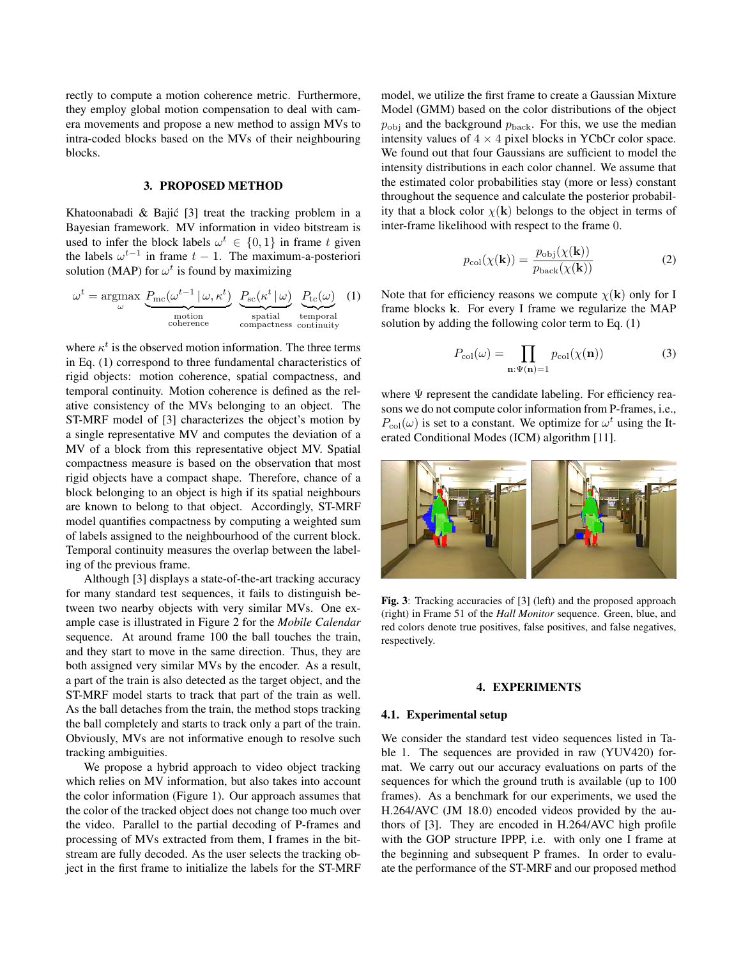rectly to compute a motion coherence metric. Furthermore, they employ global motion compensation to deal with camera movements and propose a new method to assign MVs to intra-coded blocks based on the MVs of their neighbouring blocks.

## 3. PROPOSED METHOD

Khatoonabadi  $&$  Bajić [3] treat the tracking problem in a Bayesian framework. MV information in video bitstream is used to infer the block labels  $\omega^t \in \{0, 1\}$  in frame t given the labels  $\omega^{t-1}$  in frame  $t-1$ . The maximum-a-posteriori solution (MAP) for  $\omega^t$  is found by maximizing

$$
\omega^{t} = \underset{\omega}{\operatorname{argmax}} \underbrace{P_{\text{mc}}(\omega^{t-1} | \omega, \kappa^{t})}_{\text{motion}} \underbrace{P_{\text{sc}}(\kappa^{t} | \omega)}_{\text{spatial}} \underbrace{P_{\text{tc}}(\omega)}_{\text{temporal}} (1)
$$

where  $\kappa^t$  is the observed motion information. The three terms in Eq. (1) correspond to three fundamental characteristics of rigid objects: motion coherence, spatial compactness, and temporal continuity. Motion coherence is defined as the relative consistency of the MVs belonging to an object. The ST-MRF model of [3] characterizes the object's motion by a single representative MV and computes the deviation of a MV of a block from this representative object MV. Spatial compactness measure is based on the observation that most rigid objects have a compact shape. Therefore, chance of a block belonging to an object is high if its spatial neighbours are known to belong to that object. Accordingly, ST-MRF model quantifies compactness by computing a weighted sum of labels assigned to the neighbourhood of the current block. Temporal continuity measures the overlap between the labeling of the previous frame.

Although [3] displays a state-of-the-art tracking accuracy for many standard test sequences, it fails to distinguish between two nearby objects with very similar MVs. One example case is illustrated in Figure 2 for the *Mobile Calendar* sequence. At around frame 100 the ball touches the train, and they start to move in the same direction. Thus, they are both assigned very similar MVs by the encoder. As a result, a part of the train is also detected as the target object, and the ST-MRF model starts to track that part of the train as well. As the ball detaches from the train, the method stops tracking the ball completely and starts to track only a part of the train. Obviously, MVs are not informative enough to resolve such tracking ambiguities.

We propose a hybrid approach to video object tracking which relies on MV information, but also takes into account the color information (Figure 1). Our approach assumes that the color of the tracked object does not change too much over the video. Parallel to the partial decoding of P-frames and processing of MVs extracted from them, I frames in the bitstream are fully decoded. As the user selects the tracking object in the first frame to initialize the labels for the ST-MRF model, we utilize the first frame to create a Gaussian Mixture Model (GMM) based on the color distributions of the object  $p_{\text{obj}}$  and the background  $p_{\text{back}}$ . For this, we use the median intensity values of  $4 \times 4$  pixel blocks in YCbCr color space. We found out that four Gaussians are sufficient to model the intensity distributions in each color channel. We assume that the estimated color probabilities stay (more or less) constant throughout the sequence and calculate the posterior probability that a block color  $\chi$ (k) belongs to the object in terms of inter-frame likelihood with respect to the frame 0.

$$
p_{\text{col}}(\chi(\mathbf{k})) = \frac{p_{\text{obj}}(\chi(\mathbf{k}))}{p_{\text{back}}(\chi(\mathbf{k}))}
$$
(2)

Note that for efficiency reasons we compute  $\chi(\mathbf{k})$  only for I frame blocks k. For every I frame we regularize the MAP solution by adding the following color term to Eq. (1)

$$
P_{\text{col}}(\omega) = \prod_{\mathbf{n}:\Psi(\mathbf{n})=1} p_{\text{col}}(\chi(\mathbf{n}))
$$
 (3)

where  $\Psi$  represent the candidate labeling. For efficiency reasons we do not compute color information from P-frames, i.e.,  $P_{\text{col}}(\omega)$  is set to a constant. We optimize for  $\omega^t$  using the Iterated Conditional Modes (ICM) algorithm [11].



Fig. 3: Tracking accuracies of [3] (left) and the proposed approach (right) in Frame 51 of the *Hall Monitor* sequence. Green, blue, and red colors denote true positives, false positives, and false negatives, respectively.

### 4. EXPERIMENTS

#### 4.1. Experimental setup

We consider the standard test video sequences listed in Table 1. The sequences are provided in raw (YUV420) format. We carry out our accuracy evaluations on parts of the sequences for which the ground truth is available (up to 100 frames). As a benchmark for our experiments, we used the H.264/AVC (JM 18.0) encoded videos provided by the authors of [3]. They are encoded in H.264/AVC high profile with the GOP structure IPPP, i.e. with only one I frame at the beginning and subsequent P frames. In order to evaluate the performance of the ST-MRF and our proposed method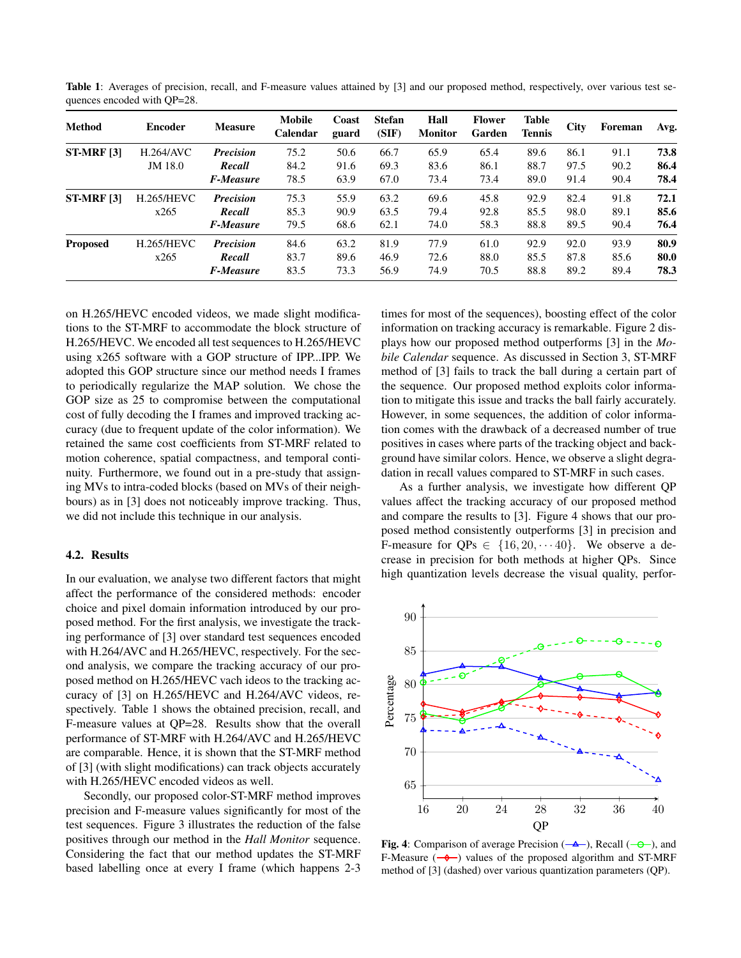Table 1: Averages of precision, recall, and F-measure values attained by [3] and our proposed method, respectively, over various test sequences encoded with QP=28.

| <b>Method</b>     | <b>Encoder</b>    | <b>Measure</b>   | <b>Mobile</b><br>Calendar | Coast<br>guard | <b>Stefan</b><br>(SIF) | Hall<br><b>Monitor</b> | <b>Flower</b><br>Garden | <b>Table</b><br><b>Tennis</b> | <b>City</b> | Foreman | Avg. |
|-------------------|-------------------|------------------|---------------------------|----------------|------------------------|------------------------|-------------------------|-------------------------------|-------------|---------|------|
| <b>ST-MRF [3]</b> | H.264/AVC         | <b>Precision</b> | 75.2                      | 50.6           | 66.7                   | 65.9                   | 65.4                    | 89.6                          | 86.1        | 91.1    | 73.8 |
|                   | JM 18.0           | Recall           | 84.2                      | 91.6           | 69.3                   | 83.6                   | 86.1                    | 88.7                          | 97.5        | 90.2    | 86.4 |
|                   |                   | <b>F-Measure</b> | 78.5                      | 63.9           | 67.0                   | 73.4                   | 73.4                    | 89.0                          | 91.4        | 90.4    | 78.4 |
| <b>ST-MRF [3]</b> | <b>H.265/HEVC</b> | <b>Precision</b> | 75.3                      | 55.9           | 63.2                   | 69.6                   | 45.8                    | 92.9                          | 82.4        | 91.8    | 72.1 |
|                   | x265              | Recall           | 85.3                      | 90.9           | 63.5                   | 79.4                   | 92.8                    | 85.5                          | 98.0        | 89.1    | 85.6 |
|                   |                   | <b>F-Measure</b> | 79.5                      | 68.6           | 62.1                   | 74.0                   | 58.3                    | 88.8                          | 89.5        | 90.4    | 76.4 |
| <b>Proposed</b>   | <b>H.265/HEVC</b> | <b>Precision</b> | 84.6                      | 63.2           | 81.9                   | 77.9                   | 61.0                    | 92.9                          | 92.0        | 93.9    | 80.9 |
|                   | x265              | Recall           | 83.7                      | 89.6           | 46.9                   | 72.6                   | 88.0                    | 85.5                          | 87.8        | 85.6    | 80.0 |
|                   |                   | <b>F-Measure</b> | 83.5                      | 73.3           | 56.9                   | 74.9                   | 70.5                    | 88.8                          | 89.2        | 89.4    | 78.3 |

on H.265/HEVC encoded videos, we made slight modifications to the ST-MRF to accommodate the block structure of H.265/HEVC. We encoded all test sequences to H.265/HEVC using x265 software with a GOP structure of IPP...IPP. We adopted this GOP structure since our method needs I frames to periodically regularize the MAP solution. We chose the GOP size as 25 to compromise between the computational cost of fully decoding the I frames and improved tracking accuracy (due to frequent update of the color information). We retained the same cost coefficients from ST-MRF related to motion coherence, spatial compactness, and temporal continuity. Furthermore, we found out in a pre-study that assigning MVs to intra-coded blocks (based on MVs of their neighbours) as in [3] does not noticeably improve tracking. Thus, we did not include this technique in our analysis.

#### 4.2. Results

In our evaluation, we analyse two different factors that might affect the performance of the considered methods: encoder choice and pixel domain information introduced by our proposed method. For the first analysis, we investigate the tracking performance of [3] over standard test sequences encoded with H.264/AVC and H.265/HEVC, respectively. For the second analysis, we compare the tracking accuracy of our proposed method on H.265/HEVC vach ideos to the tracking accuracy of [3] on H.265/HEVC and H.264/AVC videos, respectively. Table 1 shows the obtained precision, recall, and F-measure values at QP=28. Results show that the overall performance of ST-MRF with H.264/AVC and H.265/HEVC are comparable. Hence, it is shown that the ST-MRF method of [3] (with slight modifications) can track objects accurately with H.265/HEVC encoded videos as well.

Secondly, our proposed color-ST-MRF method improves precision and F-measure values significantly for most of the test sequences. Figure 3 illustrates the reduction of the false positives through our method in the *Hall Monitor* sequence. Considering the fact that our method updates the ST-MRF based labelling once at every I frame (which happens 2-3

times for most of the sequences), boosting effect of the color information on tracking accuracy is remarkable. Figure 2 displays how our proposed method outperforms [3] in the *Mobile Calendar* sequence. As discussed in Section 3, ST-MRF method of [3] fails to track the ball during a certain part of the sequence. Our proposed method exploits color information to mitigate this issue and tracks the ball fairly accurately. However, in some sequences, the addition of color information comes with the drawback of a decreased number of true positives in cases where parts of the tracking object and background have similar colors. Hence, we observe a slight degradation in recall values compared to ST-MRF in such cases.

As a further analysis, we investigate how different QP values affect the tracking accuracy of our proposed method and compare the results to [3]. Figure 4 shows that our proposed method consistently outperforms [3] in precision and F-measure for  $QPs \in \{16, 20, \cdots 40\}$ . We observe a decrease in precision for both methods at higher QPs. Since high quantization levels decrease the visual quality, perfor-



Fig. 4: Comparison of average Precision  $(-\Delta -)$ , Recall  $(-\Theta -)$ , and F-Measure  $(-\rightarrow)$  values of the proposed algorithm and ST-MRF method of [3] (dashed) over various quantization parameters (QP).